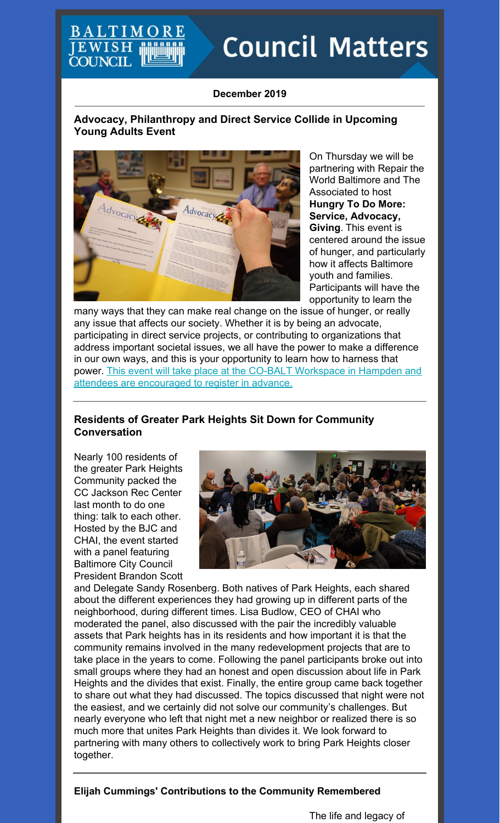## **BALTIMC JEWISH COUNCIL**

# **Council Matters**

#### **December 2019**

#### **Advocacy, Philanthropy and Direct Service Collide in Upcoming Young Adults Event**



On Thursday we will be partnering with Repair the World Baltimore and The Associated to host **Hungry To Do More: Service, Advocacy, Giving***.* This event is centered around the issue of hunger, and particularly how it affects Baltimore youth and families. Participants will have the opportunity to learn the

many ways that they can make real change on the issue of hunger, or really any issue that affects our society. Whether it is by being an advocate, participating in direct service projects, or contributing to organizations that address important societal issues, we all have the power to make a difference in our own ways, and this is your opportunity to learn how to harness that power. This event will take place at the CO-BALT Workspace in Hampden and attendees are [encouraged](https://events.idonate.com/hungry4more) to register in advance.

#### **Residents of Greater Park Heights Sit Down for Community Conversation**

Nearly 100 residents of the greater Park Heights Community packed the CC Jackson Rec Center last month to do one thing: talk to each other. Hosted by the BJC and CHAI, the event started with a panel featuring Baltimore City Council President Brandon Scott



and Delegate Sandy Rosenberg. Both natives of Park Heights, each shared about the different experiences they had growing up in different parts of the neighborhood, during different times. Lisa Budlow, CEO of CHAI who moderated the panel, also discussed with the pair the incredibly valuable assets that Park heights has in its residents and how important it is that the community remains involved in the many redevelopment projects that are to take place in the years to come. Following the panel participants broke out into small groups where they had an honest and open discussion about life in Park Heights and the divides that exist. Finally, the entire group came back together to share out what they had discussed. The topics discussed that night were not the easiest, and we certainly did not solve our community's challenges. But nearly everyone who left that night met a new neighbor or realized there is so much more that unites Park Heights than divides it. We look forward to partnering with many others to collectively work to bring Park Heights closer together.

#### **Elijah Cummings' Contributions to the Community Remembered**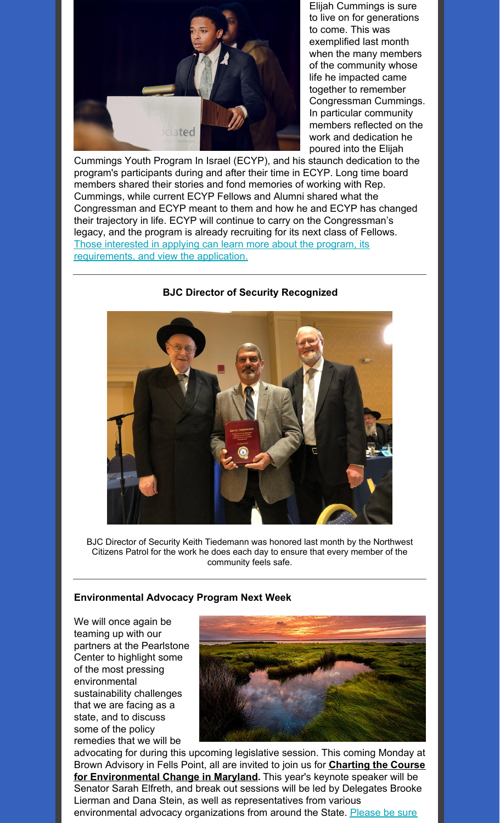

Elijah Cummings is sure to live on for generations to come. This was exemplified last month when the many members of the community whose life he impacted came together to remember Congressman Cummings. In particular community members reflected on the work and dedication he poured into the Elijah

Cummings Youth Program In Israel (ECYP), and his staunch dedication to the program's participants during and after their time in ECYP. Long time board members shared their stories and fond memories of working with Rep. Cummings, while current ECYP Fellows and Alumni shared what the Congressman and ECYP meant to them and how he and ECYP has changed their trajectory in life. ECYP will continue to carry on the Congressman's legacy, and the program is already recruiting for its next class of Fellows. Those interested in applying can learn more about the program, its [requirements,](https://www.ecyp.org/apply-for-ecyp) and view the application.

#### **BJC Director of Security Recognized**



BJC Director of Security Keith Tiedemann was honored last month by the Northwest Citizens Patrol for the work he does each day to ensure that every member of the community feels safe.

#### **Environmental Advocacy Program Next Week**

We will once again be teaming up with our partners at the Pearlstone Center to highlight some of the most pressing environmental sustainability challenges that we are facing as a state, and to discuss some of the policy remedies that we will be



advocating for during this upcoming legislative session. This coming Monday at Brown Advisory in Fells Point, all are invited to join us for **Charting the Course for [Environmental](https://www.pearlstonecenter.org/programs-events/event-calendar/event/environmentalchange/?bbeml=tp-NwEL5bTDoEucpi1syQnR4Q.jb6vneTm26k2Gb13Wpa9T7g.rhPn3jmw6a0mu37ZkorTFkQ.lzYC4m3Jh2U6mBatoF1EgCA) Change in Maryland.** This year's keynote speaker will be Senator Sarah Elfreth, and break out sessions will be led by Delegates Brooke Lierman and Dana Stein, as well as representatives from various [environmental](https://www.pearlstonecenter.org/programs-events/event-calendar/event/environmentalchange/?bbeml=tp-NwEL5bTDoEucpi1syQnR4Q.jb6vneTm26k2Gb13Wpa9T7g.rhPn3jmw6a0mu37ZkorTFkQ.lzYC4m3Jh2U6mBatoF1EgCA) advocacy organizations from around the State. Please be sure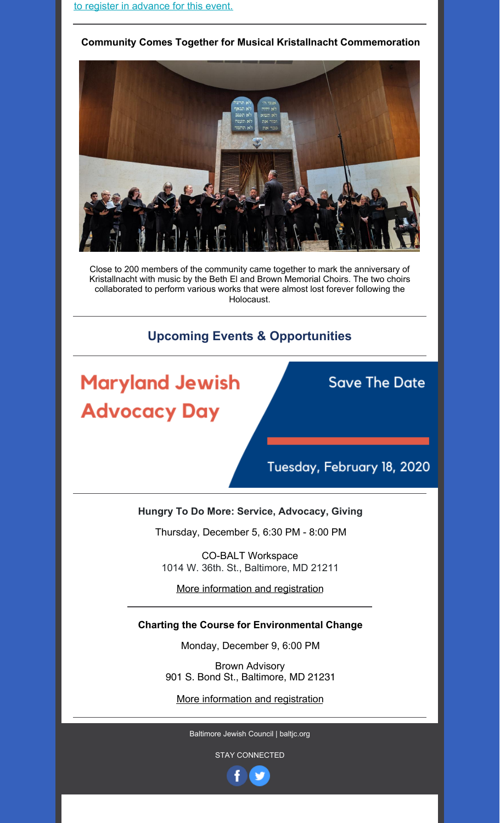#### **Community Comes Together for Musical Kristallnacht Commemoration**



Close to 200 members of the community came together to mark the anniversary of Kristallnacht with music by the Beth El and Brown Memorial Choirs. The two choirs collaborated to perform various works that were almost lost forever following the Holocaust.

#### **Upcoming Events & Opportunities**

# **Maryland Jewish Advocacy Day**

# **Save The Date**

# Tuesday, February 18, 2020

#### **Hungry To Do More: Service, Advocacy, Giving**

Thursday, December 5, 6:30 PM - 8:00 PM

CO-BALT Workspace 1014 W. 36th. St., Baltimore, MD 21211

More [information](https://events.idonate.com/hungry4more) and registration

#### **Charting the Course for Environmental Change**

Monday, December 9, 6:00 PM

Brown Advisory 901 S. Bond St., Baltimore, MD 21231

More [information](https://www.pearlstonecenter.org/programs-events/event-calendar/event/environmentalchange/) and registration

Baltimore Jewish Council | baltjc.org

STAY CONNECTED